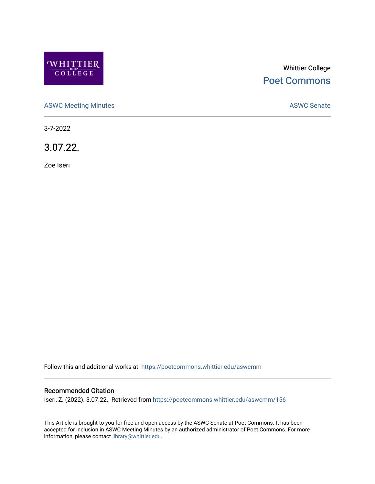

# Whittier College [Poet Commons](https://poetcommons.whittier.edu/)

[ASWC Meeting Minutes](https://poetcommons.whittier.edu/aswcmm) **ASWC Senate** 

3-7-2022

3.07.22.

Zoe Iseri

Follow this and additional works at: [https://poetcommons.whittier.edu/aswcmm](https://poetcommons.whittier.edu/aswcmm?utm_source=poetcommons.whittier.edu%2Faswcmm%2F156&utm_medium=PDF&utm_campaign=PDFCoverPages)

#### Recommended Citation

Iseri, Z. (2022). 3.07.22.. Retrieved from [https://poetcommons.whittier.edu/aswcmm/156](https://poetcommons.whittier.edu/aswcmm/156?utm_source=poetcommons.whittier.edu%2Faswcmm%2F156&utm_medium=PDF&utm_campaign=PDFCoverPages) 

This Article is brought to you for free and open access by the ASWC Senate at Poet Commons. It has been accepted for inclusion in ASWC Meeting Minutes by an authorized administrator of Poet Commons. For more information, please contact [library@whittier.edu.](mailto:library@whittier.edu)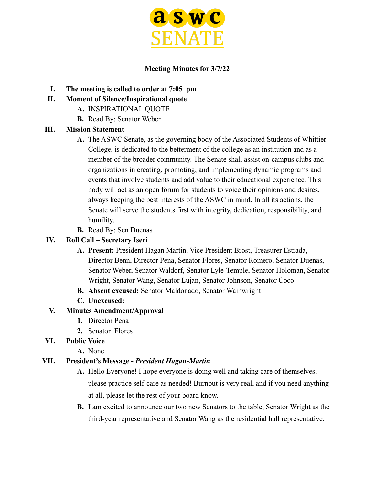

#### **Meeting Minutes for 3/7/22**

- **I. The meeting is called to order at 7:05 pm**
- **II. Moment of Silence/Inspirational quote**
	- **A.** INSPIRATIONAL QUOTE
	- **B.** Read By: Senator Weber

## **III. Mission Statement**

- **A.** The ASWC Senate, as the governing body of the Associated Students of Whittier College, is dedicated to the betterment of the college as an institution and as a member of the broader community. The Senate shall assist on-campus clubs and organizations in creating, promoting, and implementing dynamic programs and events that involve students and add value to their educational experience. This body will act as an open forum for students to voice their opinions and desires, always keeping the best interests of the ASWC in mind. In all its actions, the Senate will serve the students first with integrity, dedication, responsibility, and humility.
- **B.** Read By: Sen Duenas

#### **IV. Roll Call – Secretary Iseri**

- **A. Present:** President Hagan Martin, Vice President Brost, Treasurer Estrada, Director Benn, Director Pena, Senator Flores, Senator Romero, Senator Duenas, Senator Weber, Senator Waldorf, Senator Lyle-Temple, Senator Holoman, Senator Wright, Senator Wang, Senator Lujan, Senator Johnson, Senator Coco
- **B. Absent excused:** Senator Maldonado, Senator Wainwright
- **C. Unexcused:**

## **V. Minutes Amendment/Approval**

- **1.** Director Pena
- **2.** Senator Flores
- **VI. Public Voice**
	- **A.** None

## **VII. President's Message -** *President Hagan-Martin*

- **A.** Hello Everyone! I hope everyone is doing well and taking care of themselves; please practice self-care as needed! Burnout is very real, and if you need anything at all, please let the rest of your board know.
- **B.** I am excited to announce our two new Senators to the table, Senator Wright as the third-year representative and Senator Wang as the residential hall representative.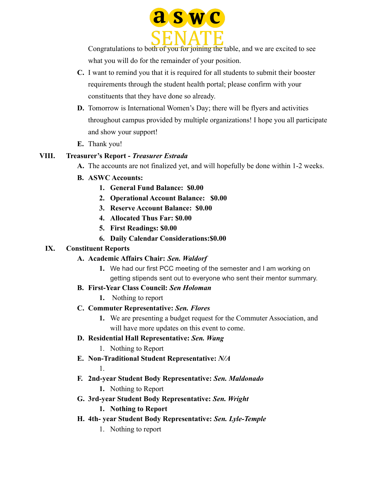

Congratulations to both of you for joining the table, and we are excited to see what you will do for the remainder of your position.

- **C.** I want to remind you that it is required for all students to submit their booster requirements through the student health portal; please confirm with your constituents that they have done so already.
- **D.** Tomorrow is International Women's Day; there will be flyers and activities throughout campus provided by multiple organizations! I hope you all participate and show your support!
- **E.** Thank you!

## **VIII. Treasurer's Report -** *Treasurer Estrada*

- **A.** The accounts are not finalized yet, and will hopefully be done within 1-2 weeks.
- **B. ASWC Accounts:**
	- **1. General Fund Balance: \$0.00**
	- **2. Operational Account Balance: \$0.00**
	- **3. Reserve Account Balance: \$0.00**
	- **4. Allocated Thus Far: \$0.00**
	- **5. First Readings: \$0.00**
	- **6. Daily Calendar Considerations:\$0.00**

## **IX. Constituent Reports**

## **A. Academic Affairs Chair:** *Sen. Waldorf*

**1.** We had our first PCC meeting of the semester and I am working on getting stipends sent out to everyone who sent their mentor summary.

#### **B. First-Year Class Council:** *Sen Holoman*

**1.** Nothing to report

## **C. Commuter Representative:** *Sen. Flores*

**1.** We are presenting a budget request for the Commuter Association, and will have more updates on this event to come.

## **D. Residential Hall Representative:** *Sen. Wang*

- 1. Nothing to Report
- **E. Non-Traditional Student Representative:** *N/A*

1.

- **F. 2nd-year Student Body Representative:** *Sen. Maldonado*
	- **1.** Nothing to Report
- **G. 3rd-year Student Body Representative:** *Sen. Wright*
	- **1. Nothing to Report**
- **H. 4th- year Student Body Representative:** *Sen. Lyle-Temple*
	- 1. Nothing to report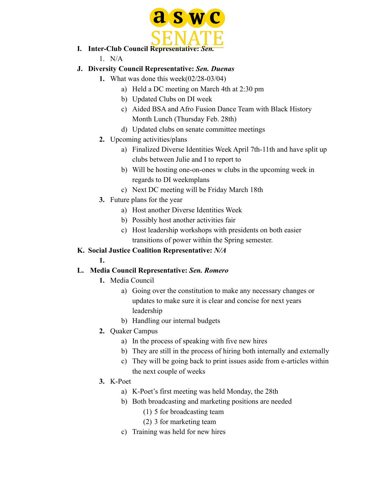

- **I. Inter-Club Council Representative:** *Sen.*
	- 1. N/A

# **J. Diversity Council Representative:** *Sen. Duenas*

- **1.** What was done this week(02/28-03/04)
	- a) Held a DC meeting on March 4th at 2:30 pm
	- b) Updated Clubs on DI week
	- c) Aided BSA and Afro Fusion Dance Team with Black History Month Lunch (Thursday Feb. 28th)
	- d) Updated clubs on senate committee meetings
- **2.** Upcoming activities/plans
	- a) Finalized Diverse Identities Week April 7th-11th and have split up clubs between Julie and I to report to
	- b) Will be hosting one-on-ones w clubs in the upcoming week in regards to DI weekmplans
	- c) Next DC meeting will be Friday March 18th
- **3.** Future plans for the year
	- a) Host another Diverse Identities Week
	- b) Possibly host another activities fair
	- c) Host leadership workshops with presidents on both easier transitions of power within the Spring semester.

# **K. Social Justice Coalition Representative:** *N/A*

## **1.**

# **L. Media Council Representative:** *Sen. Romero*

- **1.** Media Council
	- a) Going over the constitution to make any necessary changes or updates to make sure it is clear and concise for next years leadership
	- b) Handling our internal budgets
- **2.** Quaker Campus
	- a) In the process of speaking with five new hires
	- b) They are still in the process of hiring both internally and externally
	- c) They will be going back to print issues aside from e-articles within the next couple of weeks
- **3.** K-Poet
	- a) K-Poet's first meeting was held Monday, the 28th
	- b) Both broadcasting and marketing positions are needed
		- (1) 5 for broadcasting team
		- (2) 3 for marketing team
	- c) Training was held for new hires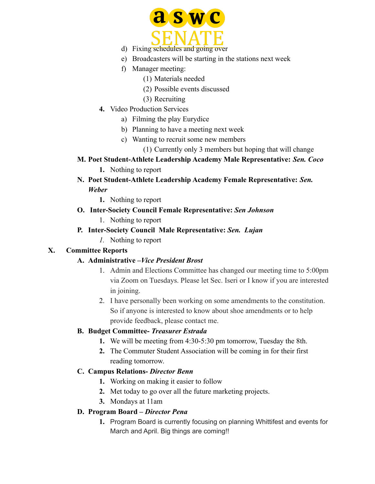

- 
- e) Broadcasters will be starting in the stations next week
- f) Manager meeting:
	- (1) Materials needed
	- (2) Possible events discussed
	- (3) Recruiting
- **4.** Video Production Services
	- a) Filming the play Eurydice
	- b) Planning to have a meeting next week
	- c) Wanting to recruit some new members
		- (1) Currently only 3 members but hoping that will change
- **M. Poet Student-Athlete Leadership Academy Male Representative:** *Sen. Coco* **1.** Nothing to report
- **N. Poet Student-Athlete Leadership Academy Female Representative:** *Sen. Weber*
	- **1.** Nothing to report
- **O. Inter-Society Council Female Representative:** *Sen Johnson*
	- 1. Nothing to report
- **P. Inter-Society Council Male Representative:** *Sen. Lujan*
	- *1.* Nothing to report

# **X. Committee Reports**

## **A. Administrative –***Vice President Brost*

- 1. Admin and Elections Committee has changed our meeting time to 5:00pm via Zoom on Tuesdays. Please let Sec. Iseri or I know if you are interested in joining.
- 2. I have personally been working on some amendments to the constitution. So if anyone is interested to know about shoe amendments or to help provide feedback, please contact me.

## **B. Budget Committee-** *Treasurer Estrada*

- **1.** We will be meeting from 4:30-5:30 pm tomorrow, Tuesday the 8th.
- **2.** The Commuter Student Association will be coming in for their first reading tomorrow.

## **C. Campus Relations-** *Director Benn*

- **1.** Working on making it easier to follow
- **2.** Met today to go over all the future marketing projects.
- **3.** Mondays at 11am

## **D. Program Board –** *Director Pena*

**1.** Program Board is currently focusing on planning Whittifest and events for March and April. Big things are coming!!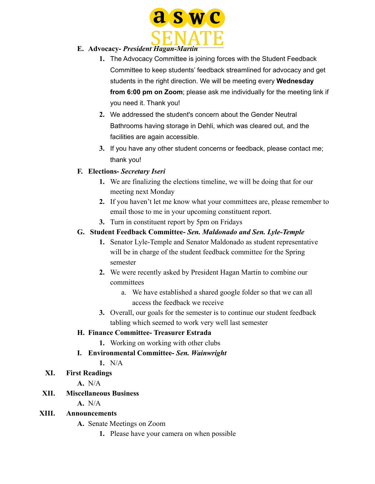

- **E. Advocacy-** *President Hagan-Martin*
	- **1.** The Advocacy Committee is joining forces with the Student Feedback Committee to keep students' feedback streamlined for advocacy and get students in the right direction. We will be meeting every **Wednesday from 6:00 pm on Zoom**; please ask me individually for the meeting link if you need it. Thank you!
	- **2.** We addressed the student's concern about the Gender Neutral Bathrooms having storage in Dehli, which was cleared out, and the facilities are again accessible.
	- **3.** If you have any other student concerns or feedback, please contact me; thank you!

#### **F. Elections-** *Secretary Iseri*

- **1.** We are finalizing the elections timeline, we will be doing that for our meeting next Monday
- **2.** If you haven't let me know what your committees are, please remember to email those to me in your upcoming constituent report.
- **3.** Turn in constituent report by 5pm on Fridays

#### **G. Student Feedback Committee-** *Sen. Maldonado and Sen. Lyle-Temple*

- **1.** Senator Lyle-Temple and Senator Maldonado as student representative will be in charge of the student feedback committee for the Spring semester
- **2.** We were recently asked by President Hagan Martin to combine our committees
	- a. We have established a shared google folder so that we can all access the feedback we receive
- **3.** Overall, our goals for the semester is to continue our student feedback tabling which seemed to work very well last semester

#### **H. Finance Committee- Treasurer Estrada**

- **1.** Working on working with other clubs
- **I. Environmental Committee-** *Sen. Wainwright*
	- **1.** N/A

#### **XI. First Readings**

**A.** N/A

#### **XII. Miscellaneous Business**

**A.** N/A

#### **XIII. Announcements**

- **A.** Senate Meetings on Zoom
	- **1.** Please have your camera on when possible